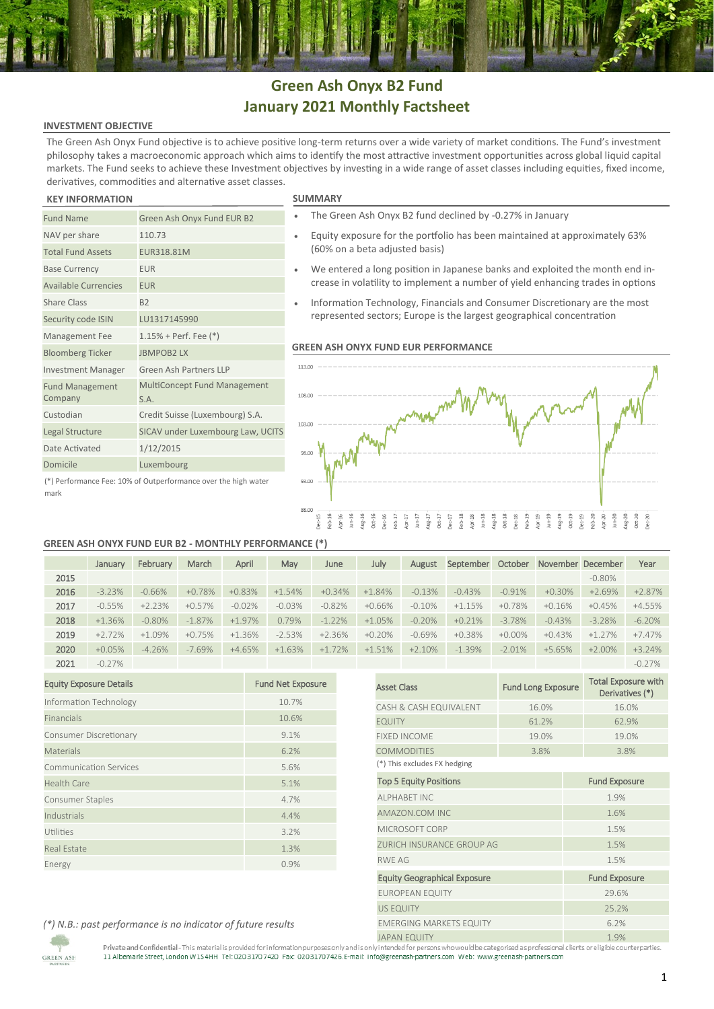# **Green Ash Onyx B2 Fund January 2021 Monthly Factsheet**

## **INVESTMENT OBJECTIVE**

The Green Ash Onyx Fund objective is to achieve positive long-term returns over a wide variety of market conditions. The Fund's investment philosophy takes a macroeconomic approach which aims to identify the most attractive investment opportunities across global liquid capital markets. The Fund seeks to achieve these Investment objectives by investing in a wide range of asset classes including equities, fixed income, derivatives, commodities and alternative asset classes.

### **KEY INFORMATION SUMMARY**

Fund Management Company

NAV per share 110.73 Total Fund Assets EUR318.81M Base Currency **EUR** Available Currencies EUR Share Class B2

Security code ISIN LU1317145990 Management Fee 1.15% + Perf. Fee (\*) Bloomberg Ticker JBMPOB2 LX

Date Activated 1/12/2015 Domicile Luxembourg

Investment Manager Green Ash Partners LLP

S.A. Custodian Credit Suisse (Luxembourg) S.A. Legal Structure SICAV under Luxembourg Law, UCITS

Fund Name Green Ash Onyx Fund EUR B2

- The Green Ash Onyx B2 fund declined by -0.27% in January
- Equity exposure for the portfolio has been maintained at approximately 63% (60% on a beta adjusted basis)
- We entered a long position in Japanese banks and exploited the month end increase in volatility to implement a number of yield enhancing trades in options
- Information Technology, Financials and Consumer Discretionary are the most represented sectors; Europe is the largest geographical concentration

### **GREEN ASH ONYX FUND EUR PERFORMANCE**



(\*) Performance Fee: 10% of Outperformance over the high water mark

# **GREEN ASH ONYX FUND EUR B2 - MONTHLY PERFORMANCE (\*)**

MultiConcept Fund Management

|      | January  | February | March     | April    | May      | June     | July     | August   | September | October   | November December |           | Year     |
|------|----------|----------|-----------|----------|----------|----------|----------|----------|-----------|-----------|-------------------|-----------|----------|
| 2015 |          |          |           |          |          |          |          |          |           |           |                   | $-0.80\%$ |          |
| 2016 | $-3.23%$ | $-0.66%$ | $+0.78%$  | $+0.83%$ | $+1.54%$ | $+0.34%$ | $+1.84%$ | $-0.13%$ | $-0.43%$  | $-0.91%$  | $+0.30%$          | $+2.69%$  | $+2.87%$ |
| 2017 | $-0.55%$ | $+2.23%$ | $+0.57%$  | $-0.02%$ | $-0.03%$ | $-0.82%$ | $+0.66%$ | $-0.10%$ | $+1.15%$  | $+0.78%$  | $+0.16%$          | $+0.45%$  | $+4.55%$ |
| 2018 | $+1.36%$ | $-0.80%$ | $-1.87\%$ | $+1.97%$ | 0.79%    | $-1.22%$ | $+1.05%$ | $-0.20%$ | $+0.21%$  | $-3.78%$  | $-0.43%$          | $-3.28%$  | $-6.20%$ |
| 2019 | $+2.72%$ | $+1.09%$ | $+0.75%$  | $+1.36%$ | $-2.53%$ | $+2.36%$ | $+0.20%$ | $-0.69%$ | $+0.38%$  | $+0.00\%$ | $+0.43%$          | $+1.27%$  | $+7.47%$ |
| 2020 | $+0.05%$ | $-4.26%$ | $-7.69%$  | $+4.65%$ | $+1.63%$ | $+1.72%$ | $+1.51%$ | $+2.10%$ | $-1.39%$  | $-2.01%$  | $+5.65%$          | $+2.00\%$ | $+3.24%$ |
| 2021 | $-0.27%$ |          |           |          |          |          |          |          |           |           |                   |           | $-0.27%$ |

| <b>Equity Exposure Details</b> | <b>Fund Net Exposure</b> |
|--------------------------------|--------------------------|
| Information Technology         | 10.7%                    |
| Financials                     | 10.6%                    |
| Consumer Discretionary         | 9.1%                     |
| Materials                      | 6.2%                     |
| <b>Communication Services</b>  | 5.6%                     |
| <b>Health Care</b>             | 5.1%                     |
| Consumer Staples               | 4.7%                     |
| Industrials                    | 4.4%                     |
| Utilities                      | 3.2%                     |
| <b>Real Estate</b>             | 1.3%                     |
| Energy                         | 0.9%                     |

|                                     |                           | $-U.21\%$                                     |  |  |  |  |  |
|-------------------------------------|---------------------------|-----------------------------------------------|--|--|--|--|--|
| <b>Asset Class</b>                  | <b>Fund Long Exposure</b> | <b>Total Exposure with</b><br>Derivatives (*) |  |  |  |  |  |
| CASH & CASH EQUIVALENT              | 16.0%                     | 16.0%                                         |  |  |  |  |  |
| <b>EQUITY</b>                       | 61.2%                     | 62.9%                                         |  |  |  |  |  |
| <b>FIXED INCOME</b>                 | 19.0%                     | 19.0%                                         |  |  |  |  |  |
| <b>COMMODITIES</b>                  | 3.8%                      | 3.8%                                          |  |  |  |  |  |
| (*) This excludes FX hedging        |                           |                                               |  |  |  |  |  |
| <b>Top 5 Equity Positions</b>       |                           | <b>Fund Exposure</b>                          |  |  |  |  |  |
| AI PHABET INC                       |                           | 1.9%                                          |  |  |  |  |  |
| AMAZON.COM INC                      |                           | 1.6%                                          |  |  |  |  |  |
| MICROSOFT CORP                      |                           | 1.5%                                          |  |  |  |  |  |
| ZURICH INSURANCE GROUP AG           |                           | 1.5%                                          |  |  |  |  |  |
| <b>RWF AG</b>                       |                           | 1.5%                                          |  |  |  |  |  |
| <b>Equity Geographical Exposure</b> |                           | <b>Fund Exposure</b>                          |  |  |  |  |  |
| <b>EUROPEAN EQUITY</b>              |                           | 29.6%                                         |  |  |  |  |  |
| <b>US EQUITY</b>                    |                           | 25.2%                                         |  |  |  |  |  |
| <b>EMERGING MARKETS EQUITY</b>      |                           | 6.2%                                          |  |  |  |  |  |
| <b>JAPAN EQUITY</b>                 |                           | 1.9%                                          |  |  |  |  |  |

*(\*) N.B.: past performance is no indicator of future results*

**GREEN ASH** 

rivate and connuential - mis material is provided for information purposes only and isomy intended for persons who would be categorised as professional 11 Albemarle Street, London W1S4HH Tel: 020 3170 7420 Fax: 0203170 742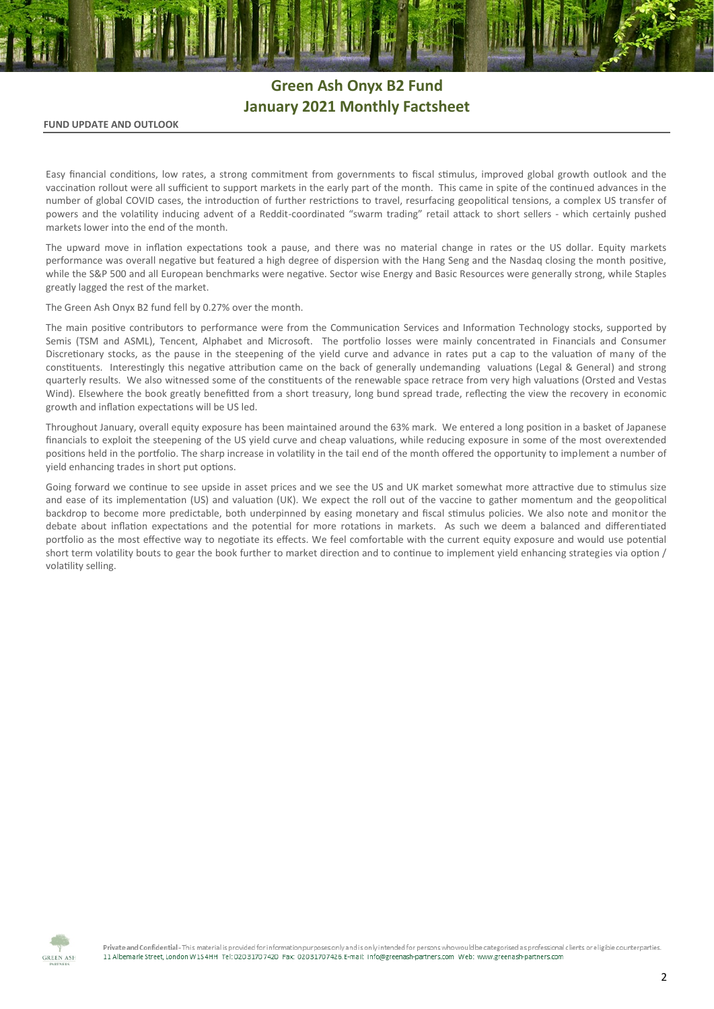# **Green Ash Onyx B2 Fund January 2021 Monthly Factsheet**

### **FUND UPDATE AND OUTLOOK**

Easy financial conditions, low rates, a strong commitment from governments to fiscal stimulus, improved global growth outlook and the vaccination rollout were all sufficient to support markets in the early part of the month. This came in spite of the continued advances in the number of global COVID cases, the introduction of further restrictions to travel, resurfacing geopolitical tensions, a complex US transfer of powers and the volatility inducing advent of a Reddit-coordinated "swarm trading" retail attack to short sellers - which certainly pushed markets lower into the end of the month.

The upward move in inflation expectations took a pause, and there was no material change in rates or the US dollar. Equity markets performance was overall negative but featured a high degree of dispersion with the Hang Seng and the Nasdaq closing the month positive, while the S&P 500 and all European benchmarks were negative. Sector wise Energy and Basic Resources were generally strong, while Staples greatly lagged the rest of the market.

The Green Ash Onyx B2 fund fell by 0.27% over the month.

The main positive contributors to performance were from the Communication Services and Information Technology stocks, supported by Semis (TSM and ASML), Tencent, Alphabet and Microsoft. The portfolio losses were mainly concentrated in Financials and Consumer Discretionary stocks, as the pause in the steepening of the yield curve and advance in rates put a cap to the valuation of many of the constituents. Interestingly this negative attribution came on the back of generally undemanding valuations (Legal & General) and strong quarterly results. We also witnessed some of the constituents of the renewable space retrace from very high valuations (Orsted and Vestas Wind). Elsewhere the book greatly benefitted from a short treasury, long bund spread trade, reflecting the view the recovery in economic growth and inflation expectations will be US led.

Throughout January, overall equity exposure has been maintained around the 63% mark. We entered a long position in a basket of Japanese financials to exploit the steepening of the US yield curve and cheap valuations, while reducing exposure in some of the most overextended positions held in the portfolio. The sharp increase in volatility in the tail end of the month offered the opportunity to implement a number of yield enhancing trades in short put options.

Going forward we continue to see upside in asset prices and we see the US and UK market somewhat more attractive due to stimulus size and ease of its implementation (US) and valuation (UK). We expect the roll out of the vaccine to gather momentum and the geopolitical backdrop to become more predictable, both underpinned by easing monetary and fiscal stimulus policies. We also note and monitor the debate about inflation expectations and the potential for more rotations in markets. As such we deem a balanced and differentiated portfolio as the most effective way to negotiate its effects. We feel comfortable with the current equity exposure and would use potential short term volatility bouts to gear the book further to market direction and to continue to implement yield enhancing strategies via option / volatility selling.